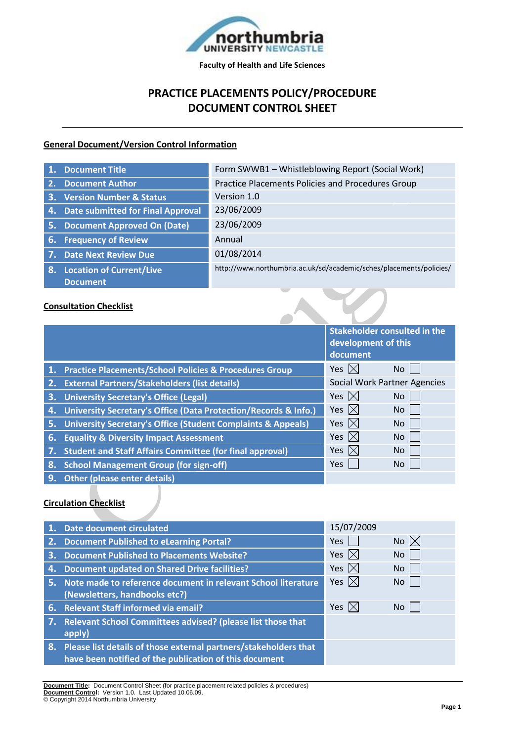

# **PRACTICE PLACEMENTS POLICY/PROCEDURE DOCUMENT CONTROL SHEET**

#### **General Document/Version Control Information**

| <b>Document Title</b>                    | Form SWWB1 - Whistleblowing Report (Social Work)                    |  |
|------------------------------------------|---------------------------------------------------------------------|--|
| <b>Document Author</b><br>2.             | Practice Placements Policies and Procedures Group                   |  |
| <b>Version Number &amp; Status</b><br>3. | Version 1.0                                                         |  |
| 4. Date submitted for Final Approval     | 23/06/2009                                                          |  |
| 5. Document Approved On (Date)           | 23/06/2009                                                          |  |
| 6. Frequency of Review                   | Annual                                                              |  |
| 7. Date Next Review Due                  | 01/08/2014                                                          |  |
| 8. Location of Current/Live              | http://www.northumbria.ac.uk/sd/academic/sches/placements/policies/ |  |
| <b>Document</b>                          |                                                                     |  |
| <b>Consultation Checklist</b>            |                                                                     |  |

### **Consultation Checklist**

|    |                                                                         | <b>Stakeholder consulted in the</b><br>development of this<br>document |                                     |
|----|-------------------------------------------------------------------------|------------------------------------------------------------------------|-------------------------------------|
|    | 1. Practice Placements/School Policies & Procedures Group               | Yes $\boxtimes$                                                        | No.                                 |
| 2. | <b>External Partners/Stakeholders (list details)</b>                    |                                                                        | <b>Social Work Partner Agencies</b> |
|    | 3. University Secretary's Office (Legal)                                | Yes $\boxtimes$                                                        | <b>No</b>                           |
| 4. | University Secretary's Office (Data Protection/Records & Info.)         | Yes $\boxtimes$                                                        | No                                  |
| 5. | <b>University Secretary's Office (Student Complaints &amp; Appeals)</b> | Yes $\boxtimes$                                                        | No                                  |
| 6. | <b>Equality &amp; Diversity Impact Assessment</b>                       | Yes $\boxtimes$                                                        | <b>No</b>                           |
|    | <b>Student and Staff Affairs Committee (for final approval)</b>         | Yes $ \times $                                                         | No                                  |
| 8. | <b>School Management Group (for sign-off)</b>                           | <b>Yes</b>                                                             | No.                                 |

**9. Other (please enter details)**

#### **Circulation Checklist**

|    | 1. Date document circulated                                                                                                   | 15/07/2009                          |                |
|----|-------------------------------------------------------------------------------------------------------------------------------|-------------------------------------|----------------|
|    | 2. Document Published to eLearning Portal?                                                                                    | <b>Yes</b>                          | No $\boxtimes$ |
|    | 3. Document Published to Placements Website?                                                                                  | Yes<br>$\mathsf{I}\times\mathsf{I}$ | No             |
| 4. | <b>Document updated on Shared Drive facilities?</b>                                                                           | Yes $ \times $                      | No             |
|    | 5. Note made to reference document in relevant School literature<br>(Newsletters, handbooks etc?)                             | Yes $ \times $                      | No.            |
|    | 6. Relevant Staff informed via email?                                                                                         | Yes $ \times $                      | No             |
|    | 7. Relevant School Committees advised? (please list those that<br>apply)                                                      |                                     |                |
|    | 8. Please list details of those external partners/stakeholders that<br>have been notified of the publication of this document |                                     |                |
|    |                                                                                                                               |                                     |                |

**Document Title:** Document Control Sheet (for practice placement related policies & procedures) **Document Control:** Version 1.0. Last Updated 10.06.09. © Copyright 2014 Northumbria University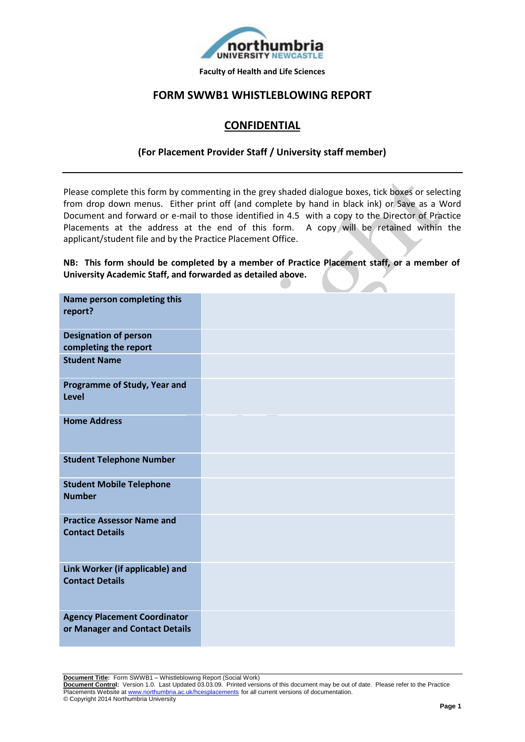

## **FORM SWWB1 WHISTLEBLOWING REPORT**

## **CONFIDENTIAL**

#### **(For Placement Provider Staff / University staff member)**

Please complete this form by commenting in the grey shaded dialogue boxes, tick boxes or selecting from drop down menus. Either print off (and complete by hand in black ink) or Save as a Word Document and forward or e-mail to those identified in 4.5 with a copy to the Director of Practice Placements at the address at the end of this form. A copy will be retained within the applicant/student file and by the Practice Placement Office.

**NB: This form should be completed by a member of Practice Placement staff, or a member of University Academic Staff, and forwarded as detailed above.** 

| Name person completing this<br>report?                                |  |  |  |
|-----------------------------------------------------------------------|--|--|--|
| <b>Designation of person</b><br>completing the report                 |  |  |  |
| <b>Student Name</b>                                                   |  |  |  |
| Programme of Study, Year and<br><b>Level</b>                          |  |  |  |
| <b>Home Address</b>                                                   |  |  |  |
| <b>Student Telephone Number</b>                                       |  |  |  |
| <b>Student Mobile Telephone</b><br><b>Number</b>                      |  |  |  |
| <b>Practice Assessor Name and</b><br><b>Contact Details</b>           |  |  |  |
| Link Worker (if applicable) and<br><b>Contact Details</b>             |  |  |  |
| <b>Agency Placement Coordinator</b><br>or Manager and Contact Details |  |  |  |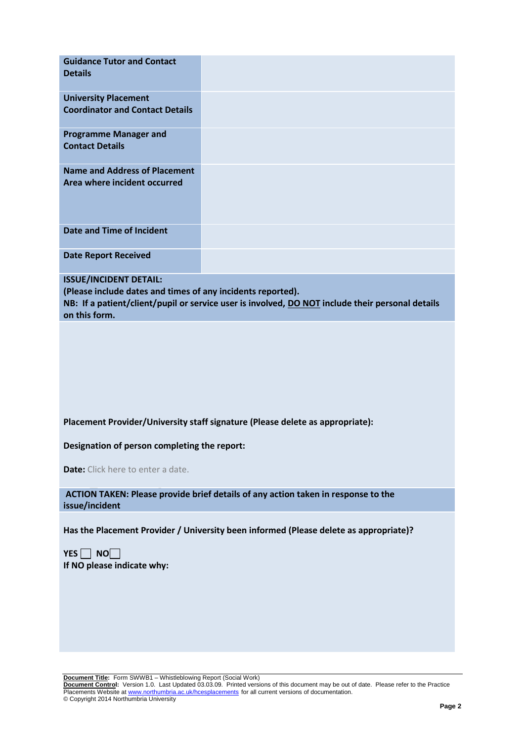| <b>Guidance Tutor and Contact</b><br><b>Details</b>                                                           |                                                                                                  |
|---------------------------------------------------------------------------------------------------------------|--------------------------------------------------------------------------------------------------|
| <b>University Placement</b><br><b>Coordinator and Contact Details</b>                                         |                                                                                                  |
| <b>Programme Manager and</b><br><b>Contact Details</b>                                                        |                                                                                                  |
| <b>Name and Address of Placement</b><br>Area where incident occurred                                          |                                                                                                  |
| <b>Date and Time of Incident</b>                                                                              |                                                                                                  |
| <b>Date Report Received</b>                                                                                   |                                                                                                  |
| <b>ISSUE/INCIDENT DETAIL:</b><br>(Please include dates and times of any incidents reported).<br>on this form. | NB: If a patient/client/pupil or service user is involved, DO NOT include their personal details |
|                                                                                                               |                                                                                                  |
|                                                                                                               | Placement Provider/University staff signature (Please delete as appropriate):                    |
| Designation of person completing the report:                                                                  |                                                                                                  |
| <b>Date:</b> Click here to enter a date.                                                                      |                                                                                                  |
| issue/incident                                                                                                | ACTION TAKEN: Please provide brief details of any action taken in response to the                |
|                                                                                                               | Has the Placement Provider / University been informed (Please delete as appropriate)?            |
| $YES \Box NO$<br>If NO please indicate why:                                                                   |                                                                                                  |
|                                                                                                               |                                                                                                  |
|                                                                                                               |                                                                                                  |

**Document Title:** Form SWWB1 – Whistleblowing Report (Social Work) **Document Control:** Version 1.0. Last Updated 03.03.09. Printed versions of this document may be out of date. Please refer to the Practice Placements Website at www.northumbria.ac.uk/hcesplacements for all current versions of documentation. © Copyright 2014 Northumbria University